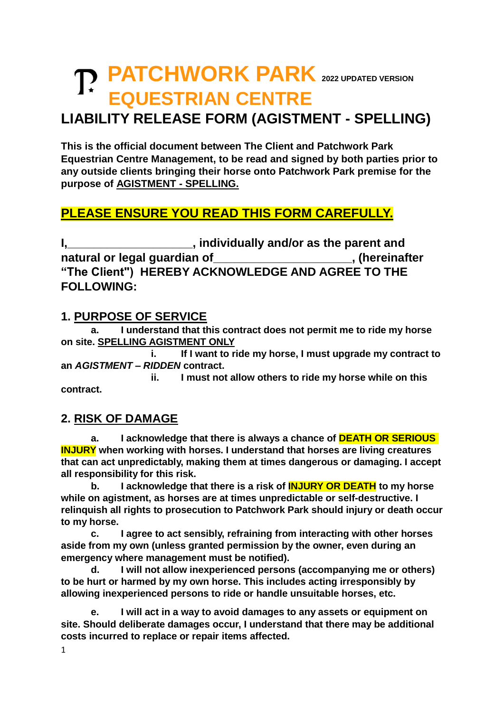# **PATCHWORK PARK <sup>2022</sup> UPDATED VERSION EQUESTRIAN CENTRE**

### **LIABILITY RELEASE FORM (AGISTMENT - SPELLING)**

**This is the official document between The Client and Patchwork Park Equestrian Centre Management, to be read and signed by both parties prior to any outside clients bringing their horse onto Patchwork Park premise for the purpose of AGISTMENT - SPELLING.**

### **PLEASE ENSURE YOU READ THIS FORM CAREFULLY.**

**I,\_\_\_\_\_\_\_\_\_\_\_\_\_\_\_\_\_\_\_, individually and/or as the parent and natural or legal guardian of\_\_\_\_\_\_\_\_\_\_\_\_\_\_\_\_\_\_\_\_\_, (hereinafter "The Client") HEREBY ACKNOWLEDGE AND AGREE TO THE FOLLOWING:**

#### **1. PURPOSE OF SERVICE**

**a. I understand that this contract does not permit me to ride my horse on site. SPELLING AGISTMENT ONLY**

**i. If I want to ride my horse, I must upgrade my contract to an** *AGISTMENT – RIDDEN* **contract.**

**ii. I must not allow others to ride my horse while on this contract.**

#### **2. RISK OF DAMAGE**

**a. I acknowledge that there is always a chance of DEATH OR SERIOUS INJURY when working with horses. I understand that horses are living creatures that can act unpredictably, making them at times dangerous or damaging. I accept all responsibility for this risk.**

**b. I acknowledge that there is a risk of INJURY OR DEATH to my horse while on agistment, as horses are at times unpredictable or self-destructive. I relinquish all rights to prosecution to Patchwork Park should injury or death occur to my horse.**

**c. I agree to act sensibly, refraining from interacting with other horses aside from my own (unless granted permission by the owner, even during an emergency where management must be notified).** 

**d. I will not allow inexperienced persons (accompanying me or others) to be hurt or harmed by my own horse. This includes acting irresponsibly by allowing inexperienced persons to ride or handle unsuitable horses, etc.** 

**e. I will act in a way to avoid damages to any assets or equipment on site. Should deliberate damages occur, I understand that there may be additional costs incurred to replace or repair items affected.**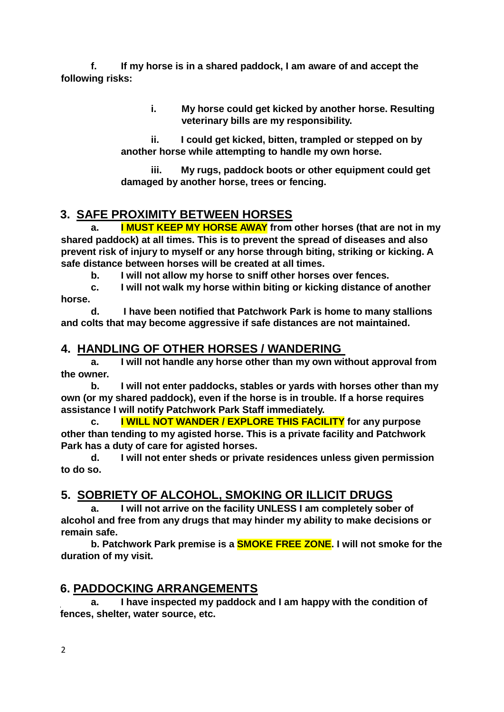**f. If my horse is in a shared paddock, I am aware of and accept the following risks:**

> **i. My horse could get kicked by another horse. Resulting veterinary bills are my responsibility.**

**ii. I could get kicked, bitten, trampled or stepped on by another horse while attempting to handle my own horse.**

**iii. My rugs, paddock boots or other equipment could get damaged by another horse, trees or fencing.**

### **3. SAFE PROXIMITY BETWEEN HORSES**

**a. I MUST KEEP MY HORSE AWAY from other horses (that are not in my shared paddock) at all times. This is to prevent the spread of diseases and also prevent risk of injury to myself or any horse through biting, striking or kicking. A safe distance between horses will be created at all times.** 

**b. I will not allow my horse to sniff other horses over fences.**

**c. I will not walk my horse within biting or kicking distance of another horse.**

**d. I have been notified that Patchwork Park is home to many stallions and colts that may become aggressive if safe distances are not maintained.**

#### **4. HANDLING OF OTHER HORSES / WANDERING**

**a. I will not handle any horse other than my own without approval from the owner.**

**b. I will not enter paddocks, stables or yards with horses other than my own (or my shared paddock), even if the horse is in trouble. If a horse requires assistance I will notify Patchwork Park Staff immediately.** 

**c. I WILL NOT WANDER / EXPLORE THIS FACILITY for any purpose other than tending to my agisted horse. This is a private facility and Patchwork Park has a duty of care for agisted horses.** 

**d. I will not enter sheds or private residences unless given permission to do so.**

#### **5. SOBRIETY OF ALCOHOL, SMOKING OR ILLICIT DRUGS**

**a. I will not arrive on the facility UNLESS I am completely sober of alcohol and free from any drugs that may hinder my ability to make decisions or remain safe.**

**b. Patchwork Park premise is a SMOKE FREE ZONE. I will not smoke for the duration of my visit.**

#### **6. PADDOCKING ARRANGEMENTS**

**a. I have inspected my paddock and I am happy with the condition of fences, shelter, water source, etc.**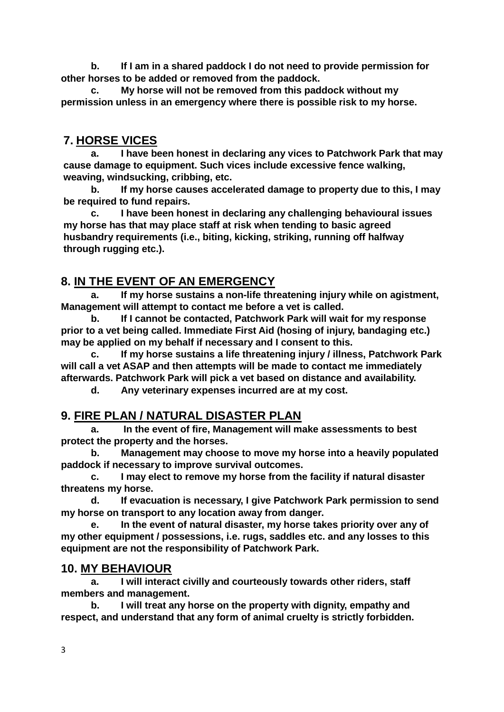**b. If I am in a shared paddock I do not need to provide permission for other horses to be added or removed from the paddock.**

**c. My horse will not be removed from this paddock without my permission unless in an emergency where there is possible risk to my horse.**

#### **7. HORSE VICES**

**a. I have been honest in declaring any vices to Patchwork Park that may cause damage to equipment. Such vices include excessive fence walking, weaving, windsucking, cribbing, etc.** 

**b. If my horse causes accelerated damage to property due to this, I may be required to fund repairs.**

**c. I have been honest in declaring any challenging behavioural issues my horse has that may place staff at risk when tending to basic agreed husbandry requirements (i.e., biting, kicking, striking, running off halfway through rugging etc.).**

### **8. IN THE EVENT OF AN EMERGENCY**

**a. If my horse sustains a non-life threatening injury while on agistment, Management will attempt to contact me before a vet is called.** 

**b. If I cannot be contacted, Patchwork Park will wait for my response prior to a vet being called. Immediate First Aid (hosing of injury, bandaging etc.) may be applied on my behalf if necessary and I consent to this.**

**c. If my horse sustains a life threatening injury / illness, Patchwork Park will call a vet ASAP and then attempts will be made to contact me immediately afterwards. Patchwork Park will pick a vet based on distance and availability.**

**d. Any veterinary expenses incurred are at my cost.**

#### **9. FIRE PLAN / NATURAL DISASTER PLAN**

**a. In the event of fire, Management will make assessments to best protect the property and the horses.**

**b. Management may choose to move my horse into a heavily populated paddock if necessary to improve survival outcomes.**

**c. I may elect to remove my horse from the facility if natural disaster threatens my horse.**

**d. If evacuation is necessary, I give Patchwork Park permission to send my horse on transport to any location away from danger.**

**e. In the event of natural disaster, my horse takes priority over any of my other equipment / possessions, i.e. rugs, saddles etc. and any losses to this equipment are not the responsibility of Patchwork Park.**

#### **10. MY BEHAVIOUR**

**a. I will interact civilly and courteously towards other riders, staff members and management.** 

**b. I will treat any horse on the property with dignity, empathy and respect, and understand that any form of animal cruelty is strictly forbidden.**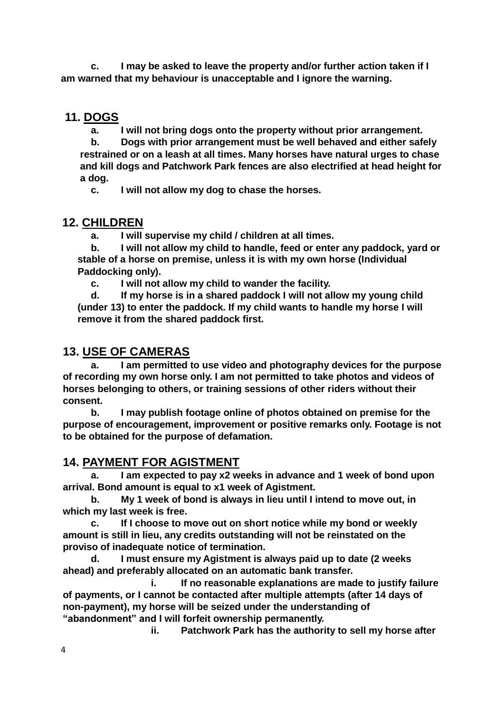**c. I may be asked to leave the property and/or further action taken if I am warned that my behaviour is unacceptable and I ignore the warning.**

#### **11. DOGS**

**a. I will not bring dogs onto the property without prior arrangement.**

**b. Dogs with prior arrangement must be well behaved and either safely restrained or on a leash at all times. Many horses have natural urges to chase and kill dogs and Patchwork Park fences are also electrified at head height for a dog.** 

**c. I will not allow my dog to chase the horses.**

#### **12. CHILDREN**

**a. I will supervise my child / children at all times.**

**b. I will not allow my child to handle, feed or enter any paddock, yard or stable of a horse on premise, unless it is with my own horse (Individual Paddocking only).**

**c. I will not allow my child to wander the facility.**

**d. If my horse is in a shared paddock I will not allow my young child (under 13) to enter the paddock. If my child wants to handle my horse I will remove it from the shared paddock first.**

#### **13. USE OF CAMERAS**

**a. I am permitted to use video and photography devices for the purpose of recording my own horse only. I am not permitted to take photos and videos of horses belonging to others, or training sessions of other riders without their consent.**

**b. I may publish footage online of photos obtained on premise for the purpose of encouragement, improvement or positive remarks only. Footage is not to be obtained for the purpose of defamation.**

#### **14. PAYMENT FOR AGISTMENT**

**a. I am expected to pay x2 weeks in advance and 1 week of bond upon arrival. Bond amount is equal to x1 week of Agistment.**

**b. My 1 week of bond is always in lieu until I intend to move out, in which my last week is free.**

**c. If I choose to move out on short notice while my bond or weekly amount is still in lieu, any credits outstanding will not be reinstated on the proviso of inadequate notice of termination.**

**d. I must ensure my Agistment is always paid up to date (2 weeks ahead) and preferably allocated on an automatic bank transfer.**

**i. If no reasonable explanations are made to justify failure of payments, or I cannot be contacted after multiple attempts (after 14 days of non-payment), my horse will be seized under the understanding of "abandonment" and I will forfeit ownership permanently.**

**ii. Patchwork Park has the authority to sell my horse after**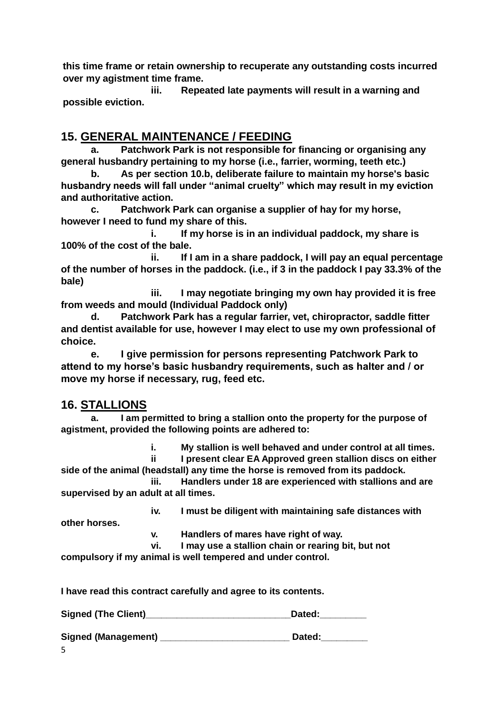**this time frame or retain ownership to recuperate any outstanding costs incurred over my agistment time frame.**

**iii. Repeated late payments will result in a warning and possible eviction.**

### **15. GENERAL MAINTENANCE / FEEDING**

**a. Patchwork Park is not responsible for financing or organising any general husbandry pertaining to my horse (i.e., farrier, worming, teeth etc.)**

**b. As per section 10.b, deliberate failure to maintain my horse's basic husbandry needs will fall under "animal cruelty" which may result in my eviction and authoritative action.**

**c. Patchwork Park can organise a supplier of hay for my horse, however I need to fund my share of this.** 

**i. If my horse is in an individual paddock, my share is 100% of the cost of the bale.**

**ii. If I am in a share paddock, I will pay an equal percentage of the number of horses in the paddock. (i.e., if 3 in the paddock I pay 33.3% of the bale)**

**iii. I may negotiate bringing my own hay provided it is free from weeds and mould (Individual Paddock only)**

**d. Patchwork Park has a regular farrier, vet, chiropractor, saddle fitter and dentist available for use, however I may elect to use my own professional of choice.**

**e. I give permission for persons representing Patchwork Park to attend to my horse's basic husbandry requirements, such as halter and / or move my horse if necessary, rug, feed etc.**

#### **16. STALLIONS**

**other horses.**

**a. I am permitted to bring a stallion onto the property for the purpose of agistment, provided the following points are adhered to:**

**i. My stallion is well behaved and under control at all times.**

**ii I present clear EA Approved green stallion discs on either side of the animal (headstall) any time the horse is removed from its paddock. iii. Handlers under 18 are experienced with stallions and are** 

**supervised by an adult at all times.**

**iv. I must be diligent with maintaining safe distances with** 

**v. Handlers of mares have right of way.**

**vi. I may use a stallion chain or rearing bit, but not compulsory if my animal is well tempered and under control.**

**I have read this contract carefully and agree to its contents.**

Signed (The Client) **Signed** (The Client) **Signed (Management) \_\_\_\_\_\_\_\_\_\_\_\_\_\_\_\_\_\_\_\_\_\_\_\_\_ Dated:\_\_\_\_\_\_\_\_\_**

5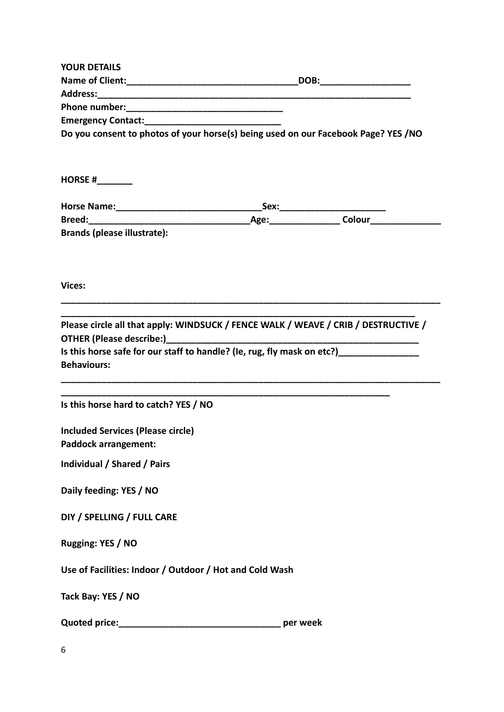| <b>YOUR DETAILS</b>                                                                     |  |
|-----------------------------------------------------------------------------------------|--|
|                                                                                         |  |
|                                                                                         |  |
|                                                                                         |  |
|                                                                                         |  |
| Do you consent to photos of your horse(s) being used on our Facebook Page? YES / NO     |  |
|                                                                                         |  |
| HORSE # $\frac{1}{2}$                                                                   |  |
|                                                                                         |  |
|                                                                                         |  |
|                                                                                         |  |
| <b>Brands (please illustrate):</b>                                                      |  |
|                                                                                         |  |
|                                                                                         |  |
| <b>Vices:</b>                                                                           |  |
|                                                                                         |  |
|                                                                                         |  |
| Please circle all that apply: WINDSUCK / FENCE WALK / WEAVE / CRIB / DESTRUCTIVE /      |  |
|                                                                                         |  |
| Is this horse safe for our staff to handle? (Ie, rug, fly mask on etc?)________________ |  |
| <b>Behaviours:</b>                                                                      |  |
|                                                                                         |  |
| Is this horse hard to catch? YES / NO                                                   |  |
|                                                                                         |  |
| <b>Included Services (Please circle)</b>                                                |  |
| <b>Paddock arrangement:</b>                                                             |  |
| <b>Individual / Shared / Pairs</b>                                                      |  |
|                                                                                         |  |
| Daily feeding: YES / NO                                                                 |  |
|                                                                                         |  |
| DIY / SPELLING / FULL CARE                                                              |  |
| Rugging: YES / NO                                                                       |  |
|                                                                                         |  |
| Use of Facilities: Indoor / Outdoor / Hot and Cold Wash                                 |  |
| Tack Bay: YES / NO                                                                      |  |
|                                                                                         |  |
| Quoted price:___________________________________ per week                               |  |
|                                                                                         |  |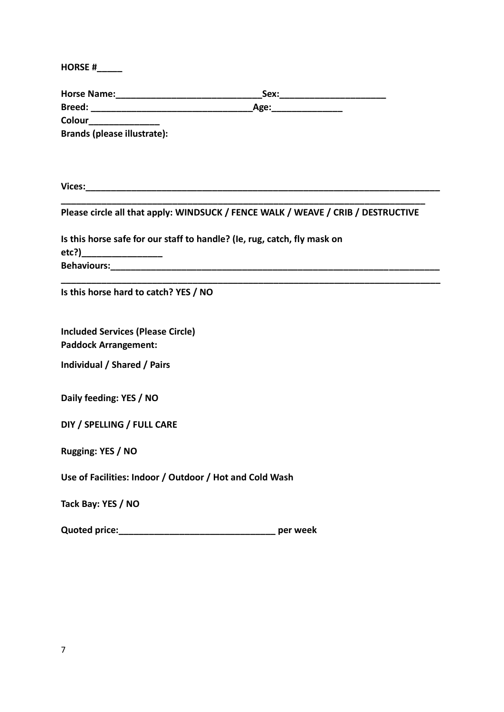**HORSE #\_\_\_\_\_**

| Colour_______________                                   |                                                                                  |  |
|---------------------------------------------------------|----------------------------------------------------------------------------------|--|
| <b>Brands (please illustrate):</b>                      |                                                                                  |  |
|                                                         |                                                                                  |  |
|                                                         |                                                                                  |  |
|                                                         | Please circle all that apply: WINDSUCK / FENCE WALK / WEAVE / CRIB / DESTRUCTIVE |  |
|                                                         | Is this horse safe for our staff to handle? (Ie, rug, catch, fly mask on         |  |
|                                                         |                                                                                  |  |
| Is this horse hard to catch? YES / NO                   |                                                                                  |  |
| <b>Included Services (Please Circle)</b>                |                                                                                  |  |
| <b>Paddock Arrangement:</b>                             |                                                                                  |  |
| Individual / Shared / Pairs                             |                                                                                  |  |
| Daily feeding: YES / NO                                 |                                                                                  |  |
| DIY / SPELLING / FULL CARE                              |                                                                                  |  |
| Rugging: YES / NO                                       |                                                                                  |  |
| Use of Facilities: Indoor / Outdoor / Hot and Cold Wash |                                                                                  |  |
| Tack Bay: YES / NO                                      |                                                                                  |  |
| Quoted price: National Assembly Prices                  | per week                                                                         |  |